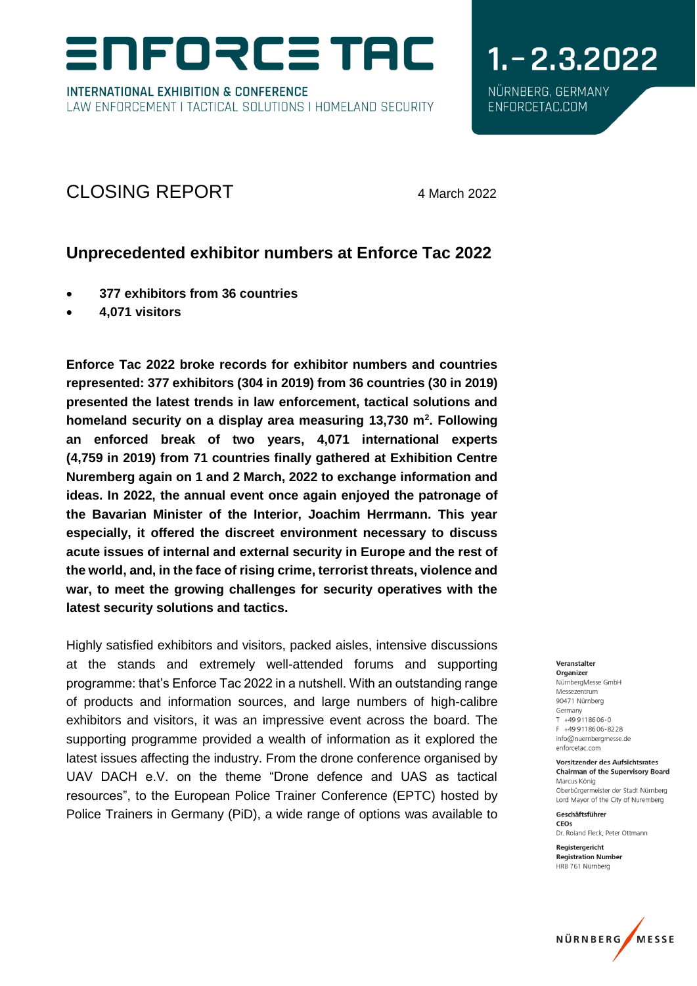# NFORCE TAC

**INTERNATIONAL EXHIBITION & CONFERENCE** LAW ENFORCEMENT I TACTICAL SOLUTIONS I HOMELAND SECURITY

# $1 - 2.3.2022$ NÜRNBERG, GERMANY

ENFORCETAC.COM

# CLOSING REPORT 4 March 2022

## **Unprecedented exhibitor numbers at Enforce Tac 2022**

- **377 exhibitors from 36 countries**
- **4,071 visitors**

**Enforce Tac 2022 broke records for exhibitor numbers and countries represented: 377 exhibitors (304 in 2019) from 36 countries (30 in 2019) presented the latest trends in law enforcement, tactical solutions and homeland security on a display area measuring 13,730 m<sup>2</sup> . Following an enforced break of two years, 4,071 international experts (4,759 in 2019) from 71 countries finally gathered at Exhibition Centre Nuremberg again on 1 and 2 March, 2022 to exchange information and ideas. In 2022, the annual event once again enjoyed the patronage of the Bavarian Minister of the Interior, Joachim Herrmann. This year especially, it offered the discreet environment necessary to discuss acute issues of internal and external security in Europe and the rest of the world, and, in the face of rising crime, terrorist threats, violence and war, to meet the growing challenges for security operatives with the latest security solutions and tactics.**

Highly satisfied exhibitors and visitors, packed aisles, intensive discussions at the stands and extremely well-attended forums and supporting programme: that's Enforce Tac 2022 in a nutshell. With an outstanding range of products and information sources, and large numbers of high-calibre exhibitors and visitors, it was an impressive event across the board. The supporting programme provided a wealth of information as it explored the latest issues affecting the industry. From the drone conference organised by UAV DACH e.V. on the theme "Drone defence and UAS as tactical resources", to the European Police Trainer Conference (EPTC) hosted by Police Trainers in Germany (PiD), a wide range of options was available to

#### Veranstalter Organizer NürnbergMesse GmbH Messezentrum 90471 Nürnberg Germany  $T + 499118606 - 0$ F +49 9118606-8228 info@nuernbergmesse.de enforcetac.com

Vorsitzender des Aufsichtsrates **Chairman of the Supervisory Board** Marcus König Oberbürgermeister der Stadt Nürnberg Lord Mayor of the City of Nuremberg

Geschäftsführer CEOS Dr. Roland Fleck, Peter Ottmann

Registergericht **Registration Number** HRB 761 Nürnberg